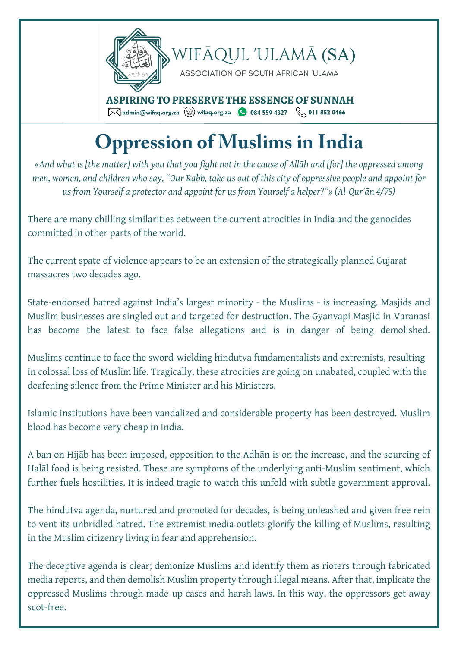

## **Oppression of Muslims in India**

*«And what is [the matter] with you that you fight not in the cause of Allāh and [for] the oppressed among men, women, and children who say, "Our Rabb, take us out of this city of oppressive people and appoint for us from Yourself a protector and appoint for us from Yourself a helper?"» (Al-Qur'ān 4/75)*

There are many chilling similarities between the current atrocities in India and the genocides committed in other parts of the world.

The current spate of violence appears to be an extension of the strategically planned Gujarat massacres two decades ago.

State-endorsed hatred against India's largest minority - the Muslims - is increasing. Masjids and Muslim businesses are singled out and targeted for destruction. The Gyanvapi Masjid in Varanasi has become the latest to face false allegations and is in danger of being demolished.

Muslims continue to face the sword-wielding hindutva fundamentalists and extremists, resulting in colossal loss of Muslim life. Tragically, these atrocities are going on unabated, coupled with the deafening silence from the Prime Minister and his Ministers.

Islamic institutions have been vandalized and considerable property has been destroyed. Muslim blood has become very cheap in India.

A ban on Hijāb has been imposed, opposition to the Adhān is on the increase, and the sourcing of Halāl food is being resisted. These are symptoms of the underlying anti-Muslim sentiment, which further fuels hostilities. It is indeed tragic to watch this unfold with subtle government approval.

The hindutva agenda, nurtured and promoted for decades, is being unleashed and given free rein to vent its unbridled hatred. The extremist media outlets glorify the killing of Muslims, resulting in the Muslim citizenry living in fear and apprehension.

The deceptive agenda is clear; demonize Muslims and identify them as rioters through fabricated media reports, and then demolish Muslim property through illegal means. After that, implicate the oppressed Muslims through made-up cases and harsh laws. In this way, the oppressors get away scot-free.